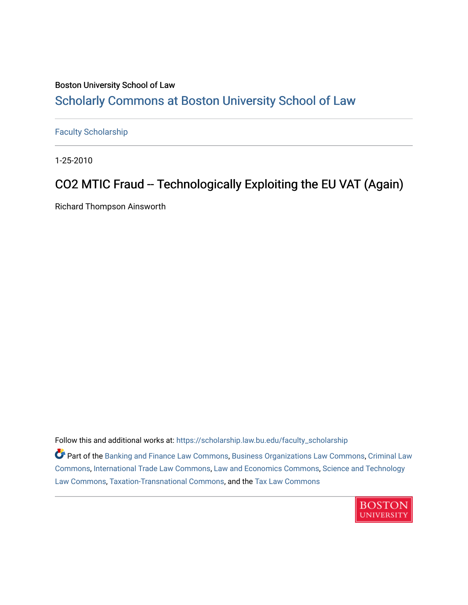### Boston University School of Law [Scholarly Commons at Boston University School of Law](https://scholarship.law.bu.edu/)

[Faculty Scholarship](https://scholarship.law.bu.edu/faculty_scholarship)

1-25-2010

## CO2 MTIC Fraud -- Technologically Exploiting the EU VAT (Again)

Richard Thompson Ainsworth

Follow this and additional works at: [https://scholarship.law.bu.edu/faculty\\_scholarship](https://scholarship.law.bu.edu/faculty_scholarship?utm_source=scholarship.law.bu.edu%2Ffaculty_scholarship%2F1506&utm_medium=PDF&utm_campaign=PDFCoverPages)

Part of the [Banking and Finance Law Commons,](http://network.bepress.com/hgg/discipline/833?utm_source=scholarship.law.bu.edu%2Ffaculty_scholarship%2F1506&utm_medium=PDF&utm_campaign=PDFCoverPages) [Business Organizations Law Commons](http://network.bepress.com/hgg/discipline/900?utm_source=scholarship.law.bu.edu%2Ffaculty_scholarship%2F1506&utm_medium=PDF&utm_campaign=PDFCoverPages), [Criminal Law](http://network.bepress.com/hgg/discipline/912?utm_source=scholarship.law.bu.edu%2Ffaculty_scholarship%2F1506&utm_medium=PDF&utm_campaign=PDFCoverPages) [Commons](http://network.bepress.com/hgg/discipline/912?utm_source=scholarship.law.bu.edu%2Ffaculty_scholarship%2F1506&utm_medium=PDF&utm_campaign=PDFCoverPages), [International Trade Law Commons,](http://network.bepress.com/hgg/discipline/848?utm_source=scholarship.law.bu.edu%2Ffaculty_scholarship%2F1506&utm_medium=PDF&utm_campaign=PDFCoverPages) [Law and Economics Commons,](http://network.bepress.com/hgg/discipline/612?utm_source=scholarship.law.bu.edu%2Ffaculty_scholarship%2F1506&utm_medium=PDF&utm_campaign=PDFCoverPages) [Science and Technology](http://network.bepress.com/hgg/discipline/875?utm_source=scholarship.law.bu.edu%2Ffaculty_scholarship%2F1506&utm_medium=PDF&utm_campaign=PDFCoverPages)  [Law Commons,](http://network.bepress.com/hgg/discipline/875?utm_source=scholarship.law.bu.edu%2Ffaculty_scholarship%2F1506&utm_medium=PDF&utm_campaign=PDFCoverPages) [Taxation-Transnational Commons,](http://network.bepress.com/hgg/discipline/883?utm_source=scholarship.law.bu.edu%2Ffaculty_scholarship%2F1506&utm_medium=PDF&utm_campaign=PDFCoverPages) and the [Tax Law Commons](http://network.bepress.com/hgg/discipline/898?utm_source=scholarship.law.bu.edu%2Ffaculty_scholarship%2F1506&utm_medium=PDF&utm_campaign=PDFCoverPages) 

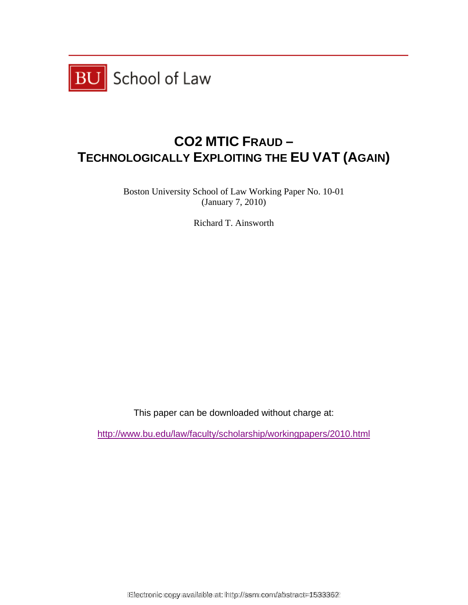

# **CO2 MTIC FRAUD – TECHNOLOGICALLY EXPLOITING THE EU VAT (AGAIN)**

Boston University School of Law Working Paper No. 10-01 (January 7, 2010)

Richard T. Ainsworth

This paper can be downloaded without charge at:

http://www.bu.edu/law/faculty/scholarship/workingpapers/2010.html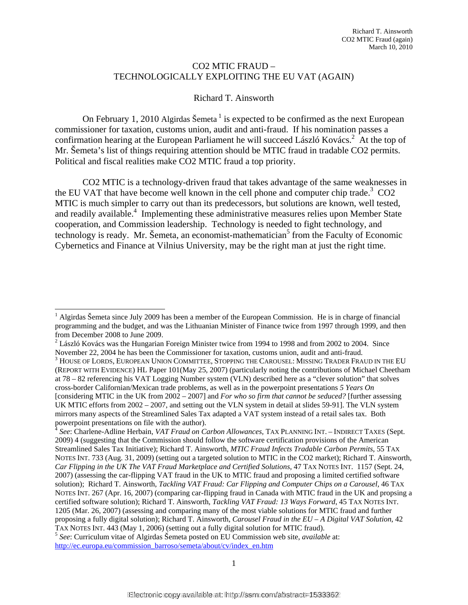#### CO2 MTIC FRAUD – TECHNOLOGICALLY EXPLOITING THE EU VAT (AGAIN)

#### Richard T. Ainsworth

On February 1, 2010 Algirdas Šemeta<sup>1</sup> is expected to be confirmed as the next European commissioner for taxation, customs union, audit and anti-fraud. If his nomination passes a confirmation hearing at the European Parliament he will succeed László Kovács.<sup>2</sup> At the top of Mr. Šemeta's list of things requiring attention should be MTIC fraud in tradable CO2 permits. Political and fiscal realities make CO2 MTIC fraud a top priority.

CO2 MTIC is a technology-driven fraud that takes advantage of the same weaknesses in the EU VAT that have become well known in the cell phone and computer chip trade.<sup>3</sup> CO2 MTIC is much simpler to carry out than its predecessors, but solutions are known, well tested, and readily available.<sup>4</sup> Implementing these administrative measures relies upon Member State cooperation, and Commission leadership. Technology is needed to fight technology, and  $t$ echnology is ready. Mr. Šemeta, an economist-mathematician<sup>5</sup> from the Faculty of Economic Cybernetics and Finance at Vilnius University, may be the right man at just the right time.

 $\overline{\phantom{a}}$ 

<sup>&</sup>lt;sup>1</sup> Algirdas Šemeta since July 2009 has been a member of the European Commission. He is in charge of financial programming and the budget, and was the Lithuanian Minister of Finance twice from 1997 through 1999, and then from December 2008 to June 2009.

 $2$  László Kovács was the Hungarian Foreign Minister twice from 1994 to 1998 and from 2002 to 2004. Since November 22, 2004 he has been the Commissioner for taxation, customs union, audit and anti-fraud.

 $^3$  House of Lords, European Union Committee, Stopping the Carousel: Missing Trader Fraud in the EU (REPORT WITH EVIDENCE) HL Paper 101(May 25, 2007) (particularly noting the contributions of Michael Cheetham at 78 – 82 referencing his VAT Logging Number system (VLN) described here as a "clever solution" that solves cross-border Californian/Mexican trade problems, as well as in the powerpoint presentations *5 Years On* [considering MTIC in the UK from 2002 – 2007] and *For who so firm that cannot be seduced?* [further assessing UK MTIC efforts from 2002 – 2007, and setting out the VLN system in detail at slides 59-91]. The VLN system mirrors many aspects of the Streamlined Sales Tax adapted a VAT system instead of a retail sales tax. Both powerpoint presentations on file with the author).

<sup>4</sup> *See*: Charlene-Adline Herbain, *VAT Fraud on Carbon Allowances,* TAX PLANNING INT. – INDIRECT TAXES (Sept. 2009) 4 (suggesting that the Commission should follow the software certification provisions of the American Streamlined Sales Tax Initiative); Richard T. Ainsworth, *MTIC Fraud Infects Tradable Carbon Permits*, 55 TAX NOTES INT. 733 (Aug. 31, 2009) (setting out a targeted solution to MTIC in the CO2 market); Richard T. Ainsworth, *Car Flipping in the UK The VAT Fraud Marketplace and Certified Solutions,* 47 TAX NOTES INT. 1157 (Sept. 24, 2007) (assessing the car-flipping VAT fraud in the UK to MTIC fraud and proposing a limited certified software solution); Richard T. Ainsworth, *Tackling VAT Fraud: Car Flipping and Computer Chips on a Carousel,* 46 TAX NOTES INT. 267 (Apr. 16, 2007) (comparing car-flipping fraud in Canada with MTIC fraud in the UK and propsing a certified software solution); Richard T. Ainsworth, *Tackling VAT Fraud: 13 Ways Forward*, 45 TAX NOTES INT. 1205 (Mar. 26, 2007) (assessing and comparing many of the most viable solutions for MTIC fraud and further proposing a fully digital solution); Richard T. Ainsworth, *Carousel Fraud in the EU – A Digital VAT Solution*, 42

TAX NOTES INT. 443 (May 1, 2006) (setting out a fully digital solution for MTIC fraud).<sup>5</sup> *See*: Curriculum vitae of Algirdas Šemeta posted on EU Commission web site, *available* at: http://ec.europa.eu/commission\_barroso/semeta/about/cv/index\_en.htm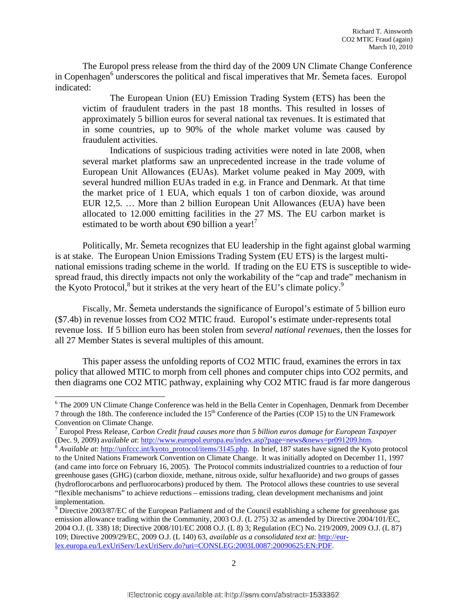The Europol press release from the third day of the 2009 UN Climate Change Conference in Copenhagen<sup>6</sup> underscores the political and fiscal imperatives that Mr. Šemeta faces. Europol indicated:

The European Union (EU) Emission Trading System (ETS) has been the victim of fraudulent traders in the past 18 months. This resulted in losses of approximately 5 billion euros for several national tax revenues. It is estimated that in some countries, up to 90% of the whole market volume was caused by fraudulent activities.

Indications of suspicious trading activities were noted in late 2008, when several market platforms saw an unprecedented increase in the trade volume of European Unit Allowances (EUAs). Market volume peaked in May 2009, with several hundred million EUAs traded in e.g. in France and Denmark. At that time the market price of 1 EUA, which equals 1 ton of carbon dioxide, was around EUR 12,5. … More than 2 billion European Unit Allowances (EUA) have been allocated to 12.000 emitting facilities in the 27 MS. The EU carbon market is estimated to be worth about  $\Theta$ 0 billion a year!

Politically, Mr. Šemeta recognizes that EU leadership in the fight against global warming is at stake. The European Union Emissions Trading System (EU ETS) is the largest multinational emissions trading scheme in the world. If trading on the EU ETS is susceptible to widespread fraud, this directly impacts not only the workability of the "cap and trade" mechanism in the Kyoto Protocol, $8$  but it strikes at the very heart of the EU's climate policy. $9$ 

Fiscally, Mr. Šemeta understands the significance of Europol's estimate of 5 billion euro (\$7.4b) in revenue losses from CO2 MTIC fraud. Europol's estimate under-represents total revenue loss. If 5 billion euro has been stolen from *several national revenues,* then the losses for all 27 Member States is several multiples of this amount.

This paper assess the unfolding reports of CO2 MTIC fraud, examines the errors in tax policy that allowed MTIC to morph from cell phones and computer chips into CO2 permits, and then diagrams one CO2 MTIC pathway, explaining why CO2 MTIC fraud is far more dangerous

<sup>&</sup>lt;sup>6</sup> The 2009 UN Climate Change Conference was held in the Bella Center in Copenhagen, Denmark from December 7 through the 18th. The conference included the  $15<sup>th</sup>$  Conference of the Parties (COP 15) to the UN Framework Convention on Climate Change.

<sup>7</sup> Europol Press Release, *Carbon Credit fraud causes more than 5 billion euros damage for European Taxpayer* (Dec. 9, 2009) available at: http://www.europol.europa.eu/index.asp?page=news&news=pr091209.htm.<br><sup>8</sup> Available at: http://unfccc.int/kyoto\_protocol/items/3145.php. In brief, 187 states have signed the Kyoto protocol

to the United Nations Framework Convention on Climate Change. It was initially adopted on December 11, 1997 (and came into force on February 16, 2005). The Protocol commits industrialized countries to a reduction of four greenhouse gases (GHG) (carbon dioxide, methane, nitrous oxide, sulfur hexafluoride) and two groups of gasses (hydroflorocarbons and perfluorocarbons) produced by them. The Protocol allows these countries to use several "flexible mechanisms" to achieve reductions – emissions trading, clean development mechanisms and joint implementation.

<sup>&</sup>lt;sup>9</sup> Directive 2003/87/EC of the European Parliament and of the Council establishing a scheme for greenhouse gas emission allowance trading within the Community, 2003 O.J. (L 275) 32 as amended by Directive 2004/101/EC, 2004 O.J. (L 338) 18; Directive 2008/101/EC 2008 O.J. (L 8) 3; Regulation (EC) No. 219/2009, 2009 O.J. (L 87) 109; Directive 2009/29/EC, 2009 O.J. (L 140) 63, *available as a consolidated text at*: http://eurlex.europa.eu/LexUriServ/LexUriServ.do?uri=CONSLEG:2003L0087:20090625:EN:PDF.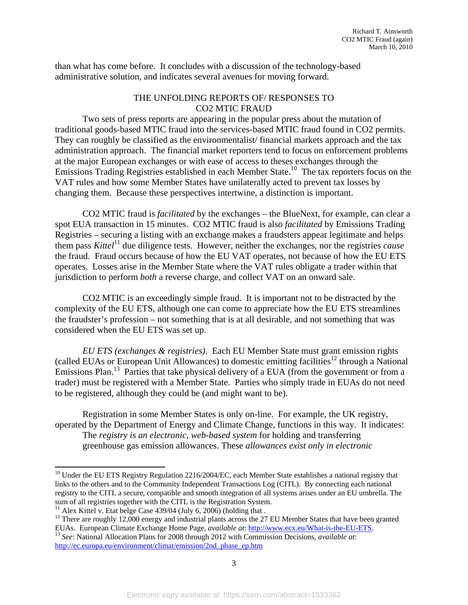than what has come before. It concludes with a discussion of the technology-based administrative solution, and indicates several avenues for moving forward.

#### THE UNFOLDING REPORTS OF/ RESPONSES TO CO2 MTIC FRAUD

Two sets of press reports are appearing in the popular press about the mutation of traditional goods-based MTIC fraud into the services-based MTIC fraud found in CO2 permits. They can roughly be classified as the environmentalist/ financial markets approach and the tax administration approach. The financial market reporters tend to focus on enforcement problems at the major European exchanges or with ease of access to theses exchanges through the Emissions Trading Registries established in each Member State.<sup>10</sup> The tax reporters focus on the VAT rules and how some Member States have unilaterally acted to prevent tax losses by changing them. Because these perspectives intertwine, a distinction is important.

CO2 MTIC fraud is *facilitated* by the exchanges – the BlueNext, for example, can clear a spot EUA transaction in 15 minutes. CO2 MTIC fraud is also *facilitated* by Emissions Trading Registries – securing a listing with an exchange makes a fraudsters appear legitimate and helps them pass *Kittel*11 due diligence tests. However, neither the exchanges, nor the registries *cause* the fraud. Fraud occurs because of how the EU VAT operates, not because of how the EU ETS operates. Losses arise in the Member State where the VAT rules obligate a trader within that jurisdiction to perform *both* a reverse charge, and collect VAT on an onward sale.

CO2 MTIC is an exceedingly simple fraud. It is important not to be distracted by the complexity of the EU ETS, although one can come to appreciate how the EU ETS streamlines the fraudster's profession – not something that is at all desirable, and not something that was considered when the EU ETS was set up.

*EU ETS (exchanges & registries)*. Each EU Member State must grant emission rights (called EUAs or European Unit Allowances) to domestic emitting facilities<sup>12</sup> through a National Emissions Plan.13 Parties that take physical delivery of a EUA (from the government or from a trader) must be registered with a Member State. Parties who simply trade in EUAs do not need to be registered, although they could be (and might want to be).

Registration in some Member States is only on-line. For example, the UK registry, operated by the Department of Energy and Climate Change, functions in this way. It indicates: The *registry is an electronic, web-based system* for holding and transferring greenhouse gas emission allowances. These *allowances exist only in electronic* 

<sup>&</sup>lt;sup>10</sup> Under the EU ETS Registry Regulation 2216/2004/EC, each Member State establishes a national registry that links to the others and to the Community Independent Transactions Log (CITL). By connecting each national registry to the CITL a secure, compatible and smooth integration of all systems arises under an EU umbrella. The sum of all registries together with the CITL is the Registration System.

 $11$  Alex Kittel v. Etat belge Case 439/04 (July 6, 2006) (holding that .

<sup>&</sup>lt;sup>12</sup> There are roughly 12,000 energy and industrial plants across the 27 EU Member States that have been granted EUAs. European Climate Exchange Home Page, *available at*: http://www.ecx.eu/What-is-the-EU-ETS.

<sup>&</sup>lt;sup>13</sup> See: National Allocation Plans for 2008 through 2012 with Commission Decisions, *available at*: http://ec.europa.eu/environment/climat/emission/2nd\_phase\_ep.htm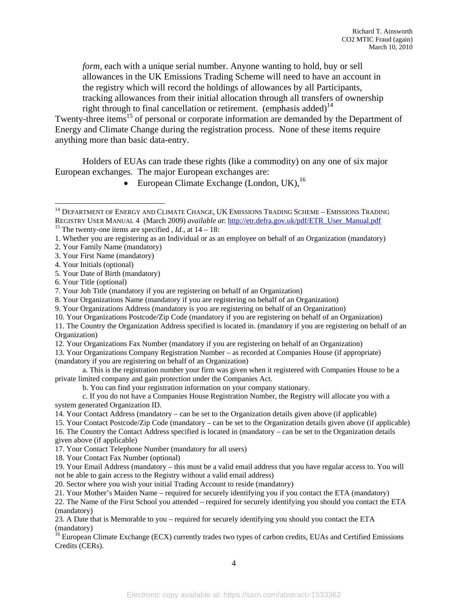*form*, each with a unique serial number. Anyone wanting to hold, buy or sell allowances in the UK Emissions Trading Scheme will need to have an account in the registry which will record the holdings of allowances by all Participants, tracking allowances from their initial allocation through all transfers of ownership right through to final cancellation or retirement. (emphasis added)<sup>14</sup>

Twenty-three items<sup>15</sup> of personal or corporate information are demanded by the Department of Energy and Climate Change during the registration process. None of these items require anything more than basic data-entry.

Holders of EUAs can trade these rights (like a commodity) on any one of six major European exchanges. The major European exchanges are:

• European Climate Exchange (London, UK), $^{16}$ 

 $\overline{\phantom{a}}$ 

10. Your Organizations Postcode/Zip Code (mandatory if you are registering on behalf of an Organization)

11. The Country the Organization Address specified is located in. (mandatory if you are registering on behalf of an Organization)

12. Your Organizations Fax Number (mandatory if you are registering on behalf of an Organization)

13. Your Organizations Company Registration Number – as recorded at Companies House (if appropriate) (mandatory if you are registering on behalf of an Organization)

 a. This is the registration number your firm was given when it registered with Companies House to be a private limited company and gain protection under the Companies Act.

b. You can find your registration information on your company stationary.

c. If you do not have a Companies House Registration Number, the Registry will allocate you with a system generated Organization ID.

14. Your Contact Address (mandatory – can be set to the Organization details given above (if applicable)

15. Your Contact Postcode/Zip Code (mandatory – can be set to the Organization details given above (if applicable)

16. The Country the Contact Address specified is located in (mandatory – can be set to the Organization details given above (if applicable)

17. Your Contact Telephone Number (mandatory for all users)

18. Your Contact Fax Number (optional)

19. Your Email Address (mandatory – this must be a valid email address that you have regular access to. You will not be able to gain access to the Registry without a valid email address)

20. Sector where you wish your initial Trading Account to reside (mandatory)

22. The Name of the First School you attended – required for securely identifying you should you contact the ETA (mandatory)

23. A Date that is Memorable to you – required for securely identifying you should you contact the ETA (mandatory)

<sup>16</sup> European Climate Exchange (ECX) currently trades two types of carbon credits, EUAs and Certified Emissions Credits (CERs).

 $^{14}$  Department of Energy and Climate Change, UK Emissions Trading Scheme – Emissions Trading REGISTRY USER MANUAL 4 (March 2009) *available at*: http://etr.defra.gov.uk/pdf/ETR\_User\_Manual.pdf 15 The twenty-one items are specified , *Id.,* at 14 – 18:

<sup>1.</sup> Whether you are registering as an Individual or as an employee on behalf of an Organization (mandatory)

<sup>2.</sup> Your Family Name (mandatory)

<sup>3.</sup> Your First Name (mandatory)

<sup>4.</sup> Your Initials (optional)

<sup>5.</sup> Your Date of Birth (mandatory)

<sup>6.</sup> Your Title (optional)

<sup>7.</sup> Your Job Title (mandatory if you are registering on behalf of an Organization)

<sup>8.</sup> Your Organizations Name (mandatory if you are registering on behalf of an Organization)

<sup>9.</sup> Your Organizations Address (mandatory is you are registering on behalf of an Organization)

<sup>21.</sup> Your Mother's Maiden Name – required for securely identifying you if you contact the ETA (mandatory)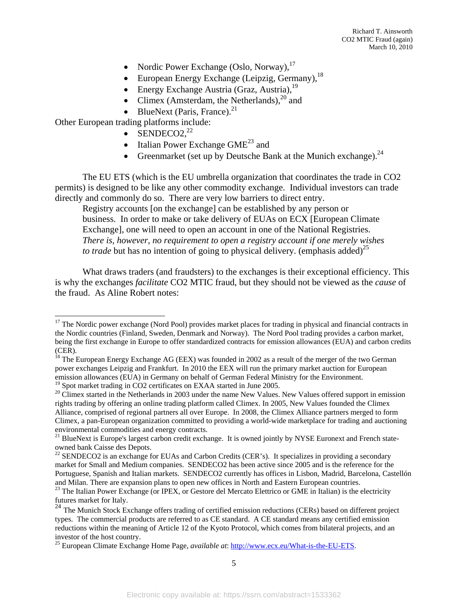- Nordic Power Exchange (Oslo, Norway), $^{17}$
- $\bullet$  European Energy Exchange (Leipzig, Germany),<sup>18</sup>
- $\bullet$  Energy Exchange Austria (Graz, Austria),  $19$
- Climex (Amsterdam, the Netherlands), $^{20}$  and
- BlueNext (Paris, France).<sup>21</sup>

Other European trading platforms include:

l

- $\bullet$  SENDECO2,<sup>22</sup>
- Italian Power Exchange  $GME^{23}$  and
- Greenmarket (set up by Deutsche Bank at the Munich exchange).<sup>24</sup>

The EU ETS (which is the EU umbrella organization that coordinates the trade in CO2 permits) is designed to be like any other commodity exchange. Individual investors can trade directly and commonly do so. There are very low barriers to direct entry.

Registry accounts [on the exchange] can be established by any person or business. In order to make or take delivery of EUAs on ECX [European Climate Exchange], one will need to open an account in one of the National Registries. *There is, however, no requirement to open a registry account if one merely wishes to trade* but has no intention of going to physical delivery. (emphasis added)<sup>25</sup>

What draws traders (and fraudsters) to the exchanges is their exceptional efficiency. This is why the exchanges *facilitate* CO2 MTIC fraud, but they should not be viewed as the *cause* of the fraud. As Aline Robert notes:

<sup>&</sup>lt;sup>17</sup> The Nordic power exchange (Nord Pool) provides market places for trading in physical and financial contracts in the Nordic countries (Finland, Sweden, Denmark and Norway). The Nord Pool trading provides a carbon market, being the first exchange in Europe to offer standardized contracts for emission allowances (EUA) and carbon credits (CER).

 $^{18}$  The European Energy Exchange AG (EEX) was founded in 2002 as a result of the merger of the two German power exchanges Leipzig and Frankfurt. In 2010 the EEX will run the primary market auction for European emission allowances (EUA) in Germany on behalf of German Federal Ministry for the Environment.

<sup>&</sup>lt;sup>19</sup> Spot market trading in CO2 certificates on EXAA started in June 2005.<br><sup>20</sup> Climex started in the Netherlands in 2003 under the name New Values. New Values offered support in emission rights trading by offering an online trading platform called Climex. In 2005, New Values founded the Climex Alliance, comprised of regional partners all over Europe. In 2008, the Climex Alliance partners merged to form Climex, a pan-European organization committed to providing a world-wide marketplace for trading and auctioning environmental commodities and energy contracts.

<sup>&</sup>lt;sup>21</sup> BlueNext is Europe's largest carbon credit exchange. It is owned jointly by NYSE Euronext and French stateowned bank Caisse des Depots.

<sup>&</sup>lt;sup>22</sup> SENDECO2 is an exchange for EUAs and Carbon Credits (CER's). It specializes in providing a secondary market for Small and Medium companies. SENDECO2 has been active since 2005 and is the reference for the Portuguese, Spanish and Italian markets. SENDECO2 currently has offices in Lisbon, Madrid, Barcelona, Castellón and Milan. There are expansion plans to open new offices in North and Eastern European countries.

<sup>&</sup>lt;sup>23</sup> The Italian Power Exchange (or IPEX, or Gestore del Mercato Elettrico or GME in Italian) is the electricity futures market for Italy.

<sup>&</sup>lt;sup>24</sup> The Munich Stock Exchange offers trading of certified emission reductions (CERs) based on different project types. The commercial products are referred to as CE standard. A CE standard means any certified emission reductions within the meaning of Article 12 of the Kyoto Protocol, which comes from bilateral projects, and an investor of the host country.

<sup>25</sup> European Climate Exchange Home Page, *available at*: http://www.ecx.eu/What-is-the-EU-ETS.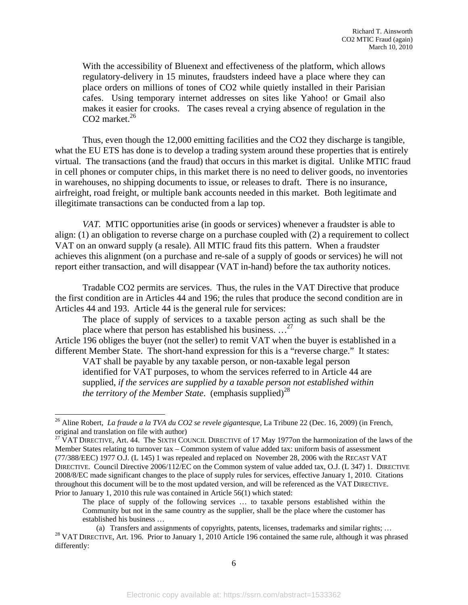With the accessibility of Bluenext and effectiveness of the platform, which allows regulatory-delivery in 15 minutes, fraudsters indeed have a place where they can place orders on millions of tones of CO2 while quietly installed in their Parisian cafes. Using temporary internet addresses on sites like Yahoo! or Gmail also makes it easier for crooks. The cases reveal a crying absence of regulation in the CO2 market. $26$ 

Thus, even though the 12,000 emitting facilities and the CO2 they discharge is tangible, what the EU ETS has done is to develop a trading system around these properties that is entirely virtual. The transactions (and the fraud) that occurs in this market is digital. Unlike MTIC fraud in cell phones or computer chips, in this market there is no need to deliver goods, no inventories in warehouses, no shipping documents to issue, or releases to draft. There is no insurance, airfreight, road freight, or multiple bank accounts needed in this market. Both legitimate and illegitimate transactions can be conducted from a lap top.

*VAT.* MTIC opportunities arise (in goods or services) whenever a fraudster is able to align: (1) an obligation to reverse charge on a purchase coupled with (2) a requirement to collect VAT on an onward supply (a resale). All MTIC fraud fits this pattern. When a fraudster achieves this alignment (on a purchase and re-sale of a supply of goods or services) he will not report either transaction, and will disappear (VAT in-hand) before the tax authority notices.

Tradable CO2 permits are services. Thus, the rules in the VAT Directive that produce the first condition are in Articles 44 and 196; the rules that produce the second condition are in Articles 44 and 193. Article 44 is the general rule for services:

The place of supply of services to a taxable person acting as such shall be the place where that person has established his business.  $\ldots^{27}$ 

Article 196 obliges the buyer (not the seller) to remit VAT when the buyer is established in a different Member State. The short-hand expression for this is a "reverse charge." It states: VAT shall be payable by any taxable person, or non-taxable legal person

identified for VAT purposes, to whom the services referred to in Article 44 are supplied, *if the services are supplied by a taxable person not established within the territory of the Member State.* (emphasis supplied)<sup>28</sup>

<sup>26</sup> Aline Robert, *La fraude a la TVA du CO2 se revele gigantesque,* La Tribune 22 (Dec. 16, 2009) (in French, original and translation on file with author)<br><sup>27</sup> VAT DIRECTIVE, Art. 44. The SIXTH COUNCIL DIRECTIVE of 17 May 1977on the harmonization of the laws of the

Member States relating to turnover tax – Common system of value added tax: uniform basis of assessment (77/388/EEC) 1977 O.J. (L 145) 1 was repealed and replaced on November 28, 2006 with the RECAST VAT DIRECTIVE. Council Directive 2006/112/EC on the Common system of value added tax, O.J. (L 347) 1. DIRECTIVE 2008/8/EC made significant changes to the place of supply rules for services, effective January 1, 2010. Citations throughout this document will be to the most updated version, and will be referenced as the VAT DIRECTIVE. Prior to January 1, 2010 this rule was contained in Article 56(1) which stated:

The place of supply of the following services ... to taxable persons established within the Community but not in the same country as the supplier, shall be the place where the customer has established his business …

<sup>(</sup>a) Transfers and assignments of copyrights, patents, licenses, trademarks and similar rights; … 28 VAT DIRECTIVE, Art. 196. Prior to January 1, 2010 Article 196 contained the same rule, although it was phrased differently: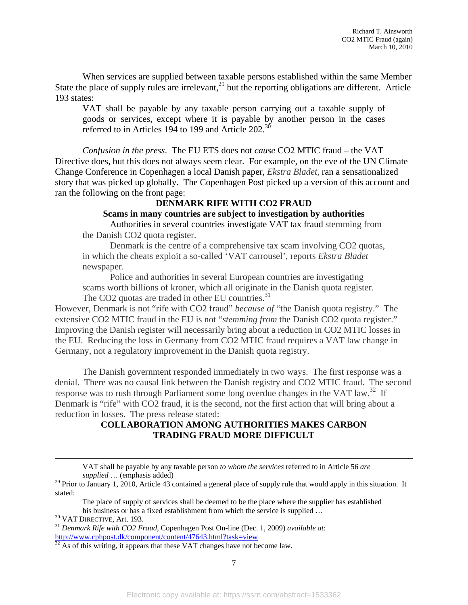When services are supplied between taxable persons established within the same Member State the place of supply rules are irrelevant,  $^{29}$  but the reporting obligations are different. Article 193 states:

VAT shall be payable by any taxable person carrying out a taxable supply of goods or services, except where it is payable by another person in the cases referred to in Articles 194 to 199 and Article 202.<sup>30</sup>

*Confusion in the press*. The EU ETS does not *cause* CO2 MTIC fraud – the VAT Directive does, but this does not always seem clear. For example, on the eve of the UN Climate Change Conference in Copenhagen a local Danish paper, *Ekstra Bladet,* ran a sensationalized story that was picked up globally. The Copenhagen Post picked up a version of this account and ran the following on the front page:

#### **DENMARK RIFE WITH CO2 FRAUD**

#### **Scams in many countries are subject to investigation by authorities**

Authorities in several countries investigate VAT tax fraud stemming from the Danish CO2 quota register.

Denmark is the centre of a comprehensive tax scam involving CO2 quotas, in which the cheats exploit a so-called 'VAT carrousel', reports *Ekstra Bladet* newspaper.

Police and authorities in several European countries are investigating scams worth billions of kroner, which all originate in the Danish quota register. The CO2 quotas are traded in other EU countries.<sup>31</sup>

However, Denmark is not "rife with CO2 fraud" *because of* "the Danish quota registry." The extensive CO2 MTIC fraud in the EU is not "*stemming from* the Danish CO2 quota register." Improving the Danish register will necessarily bring about a reduction in CO2 MTIC losses in the EU. Reducing the loss in Germany from CO2 MTIC fraud requires a VAT law change in Germany, not a regulatory improvement in the Danish quota registry.

The Danish government responded immediately in two ways. The first response was a denial. There was no causal link between the Danish registry and CO2 MTIC fraud. The second response was to rush through Parliament some long overdue changes in the VAT law.<sup>32</sup> If Denmark is "rife" with CO2 fraud, it is the second, not the first action that will bring about a reduction in losses. The press release stated:

#### **COLLABORATION AMONG AUTHORITIES MAKES CARBON TRADING FRAUD MORE DIFFICULT**

VAT shall be payable by any taxable person *to whom the services* referred to in Article 56 *are supplied* … (emphasis added)

<sup>&</sup>lt;sup>29</sup> Prior to January 1, 2010, Article 43 contained a general place of supply rule that would apply in this situation. It stated:

The place of supply of services shall be deemed to be the place where the supplier has established his business or has a fixed establishment from which the service is supplied … 30 VAT DIRECTIVE, Art. 193. 31 *Denmark Rife with CO2 Fraud*, Copenhagen Post On-line (Dec. 1, 2009) *available at*:

http://www.cphpost.dk/component/content/47643.html?task=view 3<sup>2</sup> As of this writing, it appears that these VAT changes have not become law.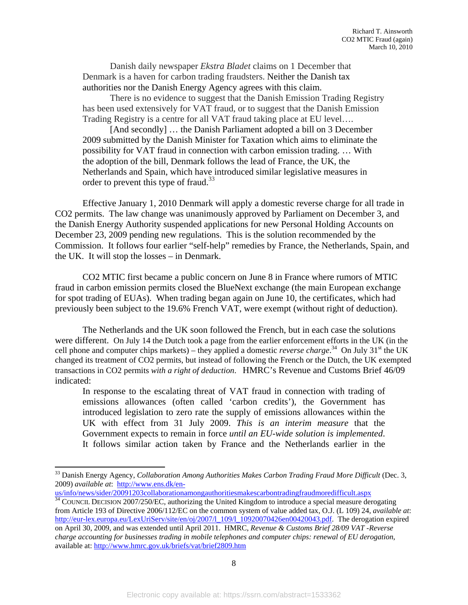Danish daily newspaper *Ekstra Bladet* claims on 1 December that Denmark is a haven for carbon trading fraudsters. Neither the Danish tax authorities nor the Danish Energy Agency agrees with this claim.

There is no evidence to suggest that the Danish Emission Trading Registry has been used extensively for VAT fraud, or to suggest that the Danish Emission Trading Registry is a centre for all VAT fraud taking place at EU level….

[And secondly] … the Danish Parliament adopted a bill on 3 December 2009 submitted by the Danish Minister for Taxation which aims to eliminate the possibility for VAT fraud in connection with carbon emission trading. … With the adoption of the bill, Denmark follows the lead of France, the UK, the Netherlands and Spain, which have introduced similar legislative measures in order to prevent this type of fraud.<sup>33</sup>

 Effective January 1, 2010 Denmark will apply a domestic reverse charge for all trade in CO2 permits. The law change was unanimously approved by Parliament on December 3, and the Danish Energy Authority suspended applications for new Personal Holding Accounts on December 23, 2009 pending new regulations. This is the solution recommended by the Commission. It follows four earlier "self-help" remedies by France, the Netherlands, Spain, and the UK. It will stop the losses – in Denmark.

CO2 MTIC first became a public concern on June 8 in France where rumors of MTIC fraud in carbon emission permits closed the BlueNext exchange (the main European exchange for spot trading of EUAs). When trading began again on June 10, the certificates, which had previously been subject to the 19.6% French VAT, were exempt (without right of deduction).

The Netherlands and the UK soon followed the French, but in each case the solutions were different. On July 14 the Dutch took a page from the earlier enforcement efforts in the UK (in the cell phone and computer chips markets) – they applied a domestic *reverse charge*.<sup>34</sup> On July 31<sup>st</sup> the UK changed its treatment of CO2 permits, but instead of following the French or the Dutch, the UK exempted transactions in CO2 permits *with a right of deduction*. HMRC's Revenue and Customs Brief 46/09 indicated:

In response to the escalating threat of VAT fraud in connection with trading of emissions allowances (often called 'carbon credits'), the Government has introduced legislation to zero rate the supply of emissions allowances within the UK with effect from 31 July 2009. *This is an interim measure* that the Government expects to remain in force *until an EU-wide solution is implemented*. It follows similar action taken by France and the Netherlands earlier in the

l

 $\frac{34}{34}$  COUNCIL DECISION 2007/250/EC, authorizing the United Kingdom to introduce a special measure derogating from Article 193 of Directive 2006/112/EC on the common system of value added tax, O.J. (L 109) 24, *available at*: http://eur-lex.europa.eu/LexUriServ/site/en/oj/2007/l\_109/l\_10920070426en00420043.pdf. The derogation expired on April 30, 2009, and was extended until April 2011. HMRC, *Revenue & Customs Brief 28/09 VAT -Reverse charge accounting for businesses trading in mobile telephones and computer chips: renewal of EU derogation*, available at: http://www.hmrc.gov.uk/briefs/vat/brief2809.htm

<sup>&</sup>lt;sup>33</sup> Danish Energy Agency, *Collaboration Among Authorities Makes Carbon Trading Fraud More Difficult* (Dec. 3, 2009) *available at*: http://www.ens.dk/en-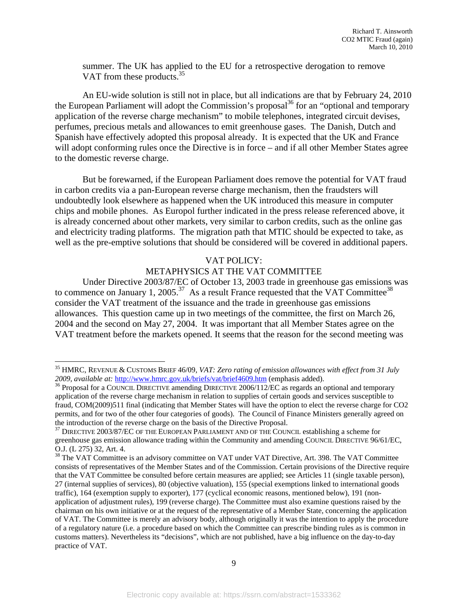summer. The UK has applied to the EU for a retrospective derogation to remove VAT from these products.<sup>35</sup>

 An EU-wide solution is still not in place, but all indications are that by February 24, 2010 the European Parliament will adopt the Commission's proposal<sup>36</sup> for an "optional and temporary application of the reverse charge mechanism" to mobile telephones, integrated circuit devises, perfumes, precious metals and allowances to emit greenhouse gases. The Danish, Dutch and Spanish have effectively adopted this proposal already. It is expected that the UK and France will adopt conforming rules once the Directive is in force – and if all other Member States agree to the domestic reverse charge.

But be forewarned, if the European Parliament does remove the potential for VAT fraud in carbon credits via a pan-European reverse charge mechanism, then the fraudsters will undoubtedly look elsewhere as happened when the UK introduced this measure in computer chips and mobile phones. As Europol further indicated in the press release referenced above, it is already concerned about other markets, very similar to carbon credits, such as the online gas and electricity trading platforms. The migration path that MTIC should be expected to take, as well as the pre-emptive solutions that should be considered will be covered in additional papers.

#### VAT POLICY:

#### METAPHYSICS AT THE VAT COMMITTEE

 Under Directive 2003/87/EC of October 13, 2003 trade in greenhouse gas emissions was to commence on January 1, 2005.<sup>37</sup> As a result France requested that the VAT Committee<sup>38</sup> consider the VAT treatment of the issuance and the trade in greenhouse gas emissions allowances. This question came up in two meetings of the committee, the first on March 26, 2004 and the second on May 27, 2004. It was important that all Member States agree on the VAT treatment before the markets opened. It seems that the reason for the second meeting was

 $\overline{a}$ 

<sup>35</sup> HMRC, REVENUE & CUSTOMS BRIEF 46/09, *VAT: Zero rating of emission allowances with effect from 31 July*  2009, available at: http://www.hmrc.gov.uk/briefs/vat/brief4609.htm (emphasis added).<br><sup>36</sup> Proposal for a COUNCIL DIRECTIVE amending DIRECTIVE 2006/112/EC as regards an optional and temporary

application of the reverse charge mechanism in relation to supplies of certain goods and services susceptible to fraud, COM(2009)511 final (indicating that Member States will have the option to elect the reverse charge for CO2 permits, and for two of the other four categories of goods). The Council of Finance Ministers generally agreed on the introduction of the reverse charge on the basis of the Directive Proposal.<br><sup>37</sup> DIRECTIVE 2003/87/EC OF THE EUROPEAN PARLIAMENT AND OF THE COUNCIL establishing a scheme for

greenhouse gas emission allowance trading within the Community and amending COUNCIL DIRECTIVE 96/61/EC, O.J. (L 275) 32, Art. 4.

<sup>&</sup>lt;sup>38</sup> The VAT Committee is an advisory committee on VAT under VAT Directive, Art. 398. The VAT Committee consists of representatives of the Member States and of the Commission. Certain provisions of the Directive require that the VAT Committee be consulted before certain measures are applied; see Articles 11 (single taxable person), 27 (internal supplies of services), 80 (objective valuation), 155 (special exemptions linked to international goods traffic), 164 (exemption supply to exporter), 177 (cyclical economic reasons, mentioned below), 191 (nonapplication of adjustment rules), 199 (reverse charge). The Committee must also examine questions raised by the chairman on his own initiative or at the request of the representative of a Member State, concerning the application of VAT. The Committee is merely an advisory body, although originally it was the intention to apply the procedure of a regulatory nature (i.e. a procedure based on which the Committee can prescribe binding rules as is common in customs matters). Nevertheless its "decisions", which are not published, have a big influence on the day-to-day practice of VAT.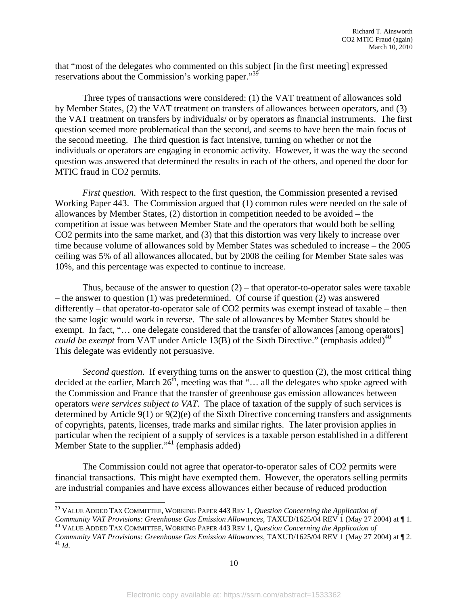that "most of the delegates who commented on this subject [in the first meeting] expressed reservations about the Commission's working paper."<sup>39</sup>

 Three types of transactions were considered: (1) the VAT treatment of allowances sold by Member States, (2) the VAT treatment on transfers of allowances between operators, and (3) the VAT treatment on transfers by individuals/ or by operators as financial instruments. The first question seemed more problematical than the second, and seems to have been the main focus of the second meeting. The third question is fact intensive, turning on whether or not the individuals or operators are engaging in economic activity. However, it was the way the second question was answered that determined the results in each of the others, and opened the door for MTIC fraud in CO2 permits.

*First question.* With respect to the first question, the Commission presented a revised Working Paper 443. The Commission argued that (1) common rules were needed on the sale of allowances by Member States, (2) distortion in competition needed to be avoided – the competition at issue was between Member State and the operators that would both be selling CO2 permits into the same market, and (3) that this distortion was very likely to increase over time because volume of allowances sold by Member States was scheduled to increase – the 2005 ceiling was 5% of all allowances allocated, but by 2008 the ceiling for Member State sales was 10%, and this percentage was expected to continue to increase.

Thus, because of the answer to question  $(2)$  – that operator-to-operator sales were taxable – the answer to question (1) was predetermined. Of course if question (2) was answered differently – that operator-to-operator sale of CO2 permits was exempt instead of taxable – then the same logic would work in reverse. The sale of allowances by Member States should be exempt. In fact, "... one delegate considered that the transfer of allowances [among operators] *could be exempt* from VAT under Article 13(B) of the Sixth Directive." (emphasis added)<sup>40</sup> This delegate was evidently not persuasive.

*Second question*. If everything turns on the answer to question (2), the most critical thing decided at the earlier, March  $26<sup>th</sup>$ , meeting was that "... all the delegates who spoke agreed with the Commission and France that the transfer of greenhouse gas emission allowances between operators *were services subject to VAT*. The place of taxation of the supply of such services is determined by Article 9(1) or 9(2)(e) of the Sixth Directive concerning transfers and assignments of copyrights, patents, licenses, trade marks and similar rights. The later provision applies in particular when the recipient of a supply of services is a taxable person established in a different Member State to the supplier."<sup>41</sup> (emphasis added)

The Commission could not agree that operator-to-operator sales of CO2 permits were financial transactions. This might have exempted them. However, the operators selling permits are industrial companies and have excess allowances either because of reduced production

<sup>39</sup> VALUE ADDED TAX COMMITTEE, WORKING PAPER 443 REV 1, *Question Concerning the Application of Community VAT Provisions: Greenhouse Gas Emission Allowances*, TAXUD/1625/04 REV 1 (May 27 2004) at  $\P$  1.<br><sup>40</sup> VALUE ADDED TAX COMMITTEE, WORKING PAPER 443 REV 1, *Question Concerning the Application of* 

*Community VAT Provisions: Greenhouse Gas Emission Allowances*, TAXUD/1625/04 REV 1 (May 27 2004) at ¶ 2. 41 *Id*.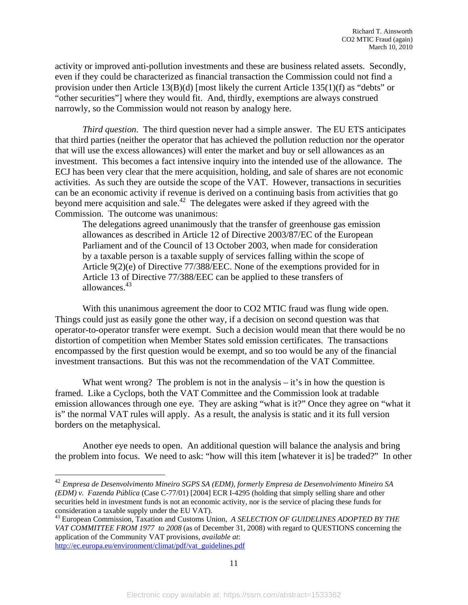activity or improved anti-pollution investments and these are business related assets. Secondly, even if they could be characterized as financial transaction the Commission could not find a provision under then Article  $13(B)(d)$  [most likely the current Article  $135(1)(f)$  as "debts" or "other securities"] where they would fit. And, thirdly, exemptions are always construed narrowly, so the Commission would not reason by analogy here.

*Third question*. The third question never had a simple answer. The EU ETS anticipates that third parties (neither the operator that has achieved the pollution reduction nor the operator that will use the excess allowances) will enter the market and buy or sell allowances as an investment. This becomes a fact intensive inquiry into the intended use of the allowance. The ECJ has been very clear that the mere acquisition, holding, and sale of shares are not economic activities. As such they are outside the scope of the VAT. However, transactions in securities can be an economic activity if revenue is derived on a continuing basis from activities that go beyond mere acquisition and sale.<sup>42</sup> The delegates were asked if they agreed with the Commission. The outcome was unanimous:

The delegations agreed unanimously that the transfer of greenhouse gas emission allowances as described in Article 12 of Directive 2003/87/EC of the European Parliament and of the Council of 13 October 2003, when made for consideration by a taxable person is a taxable supply of services falling within the scope of Article 9(2)(e) of Directive 77/388/EEC. None of the exemptions provided for in Article 13 of Directive 77/388/EEC can be applied to these transfers of allowances.<sup>43</sup>

With this unanimous agreement the door to CO2 MTIC fraud was flung wide open. Things could just as easily gone the other way, if a decision on second question was that operator-to-operator transfer were exempt. Such a decision would mean that there would be no distortion of competition when Member States sold emission certificates. The transactions encompassed by the first question would be exempt, and so too would be any of the financial investment transactions. But this was not the recommendation of the VAT Committee.

What went wrong? The problem is not in the analysis  $-$  it's in how the question is framed. Like a Cyclops, both the VAT Committee and the Commission look at tradable emission allowances through one eye. They are asking "what is it?" Once they agree on "what it is" the normal VAT rules will apply. As a result, the analysis is static and it its full version borders on the metaphysical.

Another eye needs to open. An additional question will balance the analysis and bring the problem into focus. We need to ask: "how will this item [whatever it is] be traded?" In other

<sup>42</sup> *Empresa de Desenvolvimento Mineiro SGPS SA (EDM), formerly Empresa de Desenvolvimento Mineiro SA (EDM) v. Fazenda Pública* (Case C-77/01) [2004] ECR I-4295 (holding that simply selling share and other securities held in investment funds is not an economic activity, nor is the service of placing these funds for consideration a taxable supply under the EU VAT).

<sup>43</sup> European Commission, Taxation and Customs Union, *A SELECTION OF GUIDELINES ADOPTED BY THE VAT COMMITTEE FROM 1977 to 2008* (as of December 31, 2008) with regard to QUESTIONS concerning the application of the Community VAT provisions, *available at*: http://ec.europa.eu/environment/climat/pdf/vat\_guidelines.pdf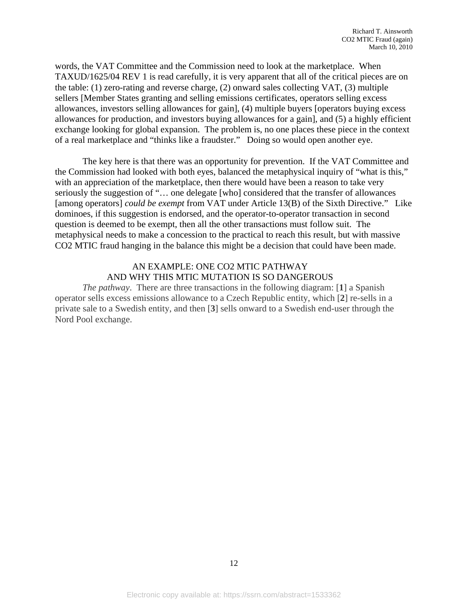words, the VAT Committee and the Commission need to look at the marketplace. When TAXUD/1625/04 REV 1 is read carefully, it is very apparent that all of the critical pieces are on the table: (1) zero-rating and reverse charge, (2) onward sales collecting VAT, (3) multiple sellers [Member States granting and selling emissions certificates, operators selling excess allowances, investors selling allowances for gain], (4) multiple buyers [operators buying excess allowances for production, and investors buying allowances for a gain], and (5) a highly efficient exchange looking for global expansion. The problem is, no one places these piece in the context of a real marketplace and "thinks like a fraudster." Doing so would open another eye.

The key here is that there was an opportunity for prevention. If the VAT Committee and the Commission had looked with both eyes, balanced the metaphysical inquiry of "what is this," with an appreciation of the marketplace, then there would have been a reason to take very seriously the suggestion of "… one delegate [who] considered that the transfer of allowances [among operators] *could be exempt* from VAT under Article 13(B) of the Sixth Directive." Like dominoes, if this suggestion is endorsed, and the operator-to-operator transaction in second question is deemed to be exempt, then all the other transactions must follow suit. The metaphysical needs to make a concession to the practical to reach this result, but with massive CO2 MTIC fraud hanging in the balance this might be a decision that could have been made.

#### AN EXAMPLE: ONE CO2 MTIC PATHWAY AND WHY THIS MTIC MUTATION IS SO DANGEROUS

*The pathway*. There are three transactions in the following diagram: [**1**] a Spanish operator sells excess emissions allowance to a Czech Republic entity, which [**2**] re-sells in a private sale to a Swedish entity, and then [**3**] sells onward to a Swedish end-user through the Nord Pool exchange.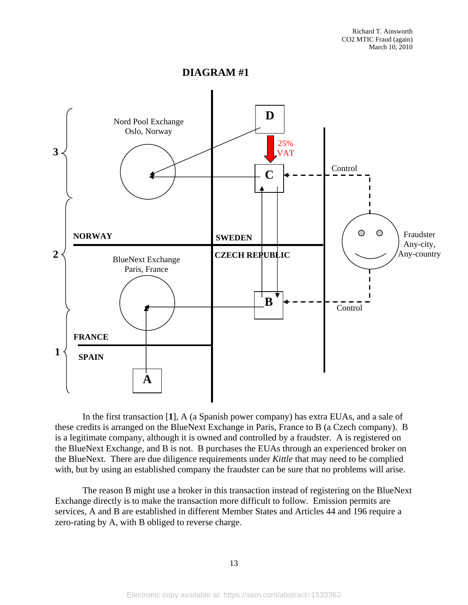**DIAGRAM #1** 



In the first transaction [**1**], A (a Spanish power company) has extra EUAs, and a sale of these credits is arranged on the BlueNext Exchange in Paris, France to B (a Czech company). B is a legitimate company, although it is owned and controlled by a fraudster. A is registered on the BlueNext Exchange, and B is not. B purchases the EUAs through an experienced broker on the BlueNext. There are due diligence requirements under *Kittle* that may need to be complied with, but by using an established company the fraudster can be sure that no problems will arise.

The reason B might use a broker in this transaction instead of registering on the BlueNext Exchange directly is to make the transaction more difficult to follow. Emission permits are services, A and B are established in different Member States and Articles 44 and 196 require a zero-rating by A, with B obliged to reverse charge.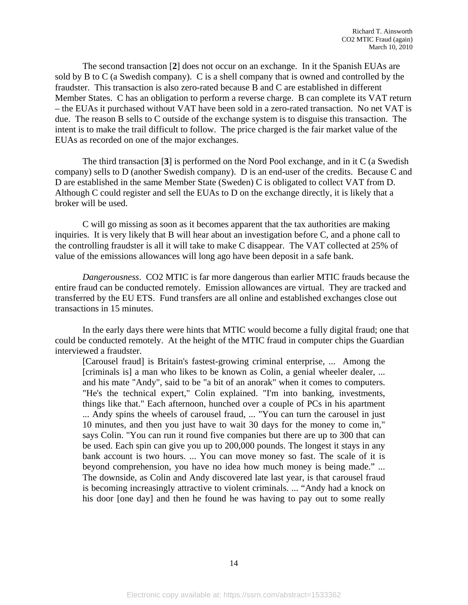The second transaction [**2**] does not occur on an exchange. In it the Spanish EUAs are sold by B to C (a Swedish company). C is a shell company that is owned and controlled by the fraudster. This transaction is also zero-rated because B and C are established in different Member States. C has an obligation to perform a reverse charge. B can complete its VAT return – the EUAs it purchased without VAT have been sold in a zero-rated transaction. No net VAT is due. The reason B sells to C outside of the exchange system is to disguise this transaction. The intent is to make the trail difficult to follow. The price charged is the fair market value of the EUAs as recorded on one of the major exchanges.

The third transaction [**3**] is performed on the Nord Pool exchange, and in it C (a Swedish company) sells to D (another Swedish company). D is an end-user of the credits. Because C and D are established in the same Member State (Sweden) C is obligated to collect VAT from D. Although C could register and sell the EUAs to D on the exchange directly, it is likely that a broker will be used.

C will go missing as soon as it becomes apparent that the tax authorities are making inquiries. It is very likely that B will hear about an investigation before C, and a phone call to the controlling fraudster is all it will take to make C disappear. The VAT collected at 25% of value of the emissions allowances will long ago have been deposit in a safe bank.

*Dangerousness*. CO2 MTIC is far more dangerous than earlier MTIC frauds because the entire fraud can be conducted remotely. Emission allowances are virtual. They are tracked and transferred by the EU ETS. Fund transfers are all online and established exchanges close out transactions in 15 minutes.

In the early days there were hints that MTIC would become a fully digital fraud; one that could be conducted remotely. At the height of the MTIC fraud in computer chips the Guardian interviewed a fraudster.

[Carousel fraud] is Britain's fastest-growing criminal enterprise, ... Among the [criminals is] a man who likes to be known as Colin, a genial wheeler dealer, ... and his mate "Andy", said to be "a bit of an anorak" when it comes to computers. "He's the technical expert," Colin explained. "I'm into banking, investments, things like that." Each afternoon, hunched over a couple of PCs in his apartment ... Andy spins the wheels of carousel fraud, ... "You can turn the carousel in just 10 minutes, and then you just have to wait 30 days for the money to come in," says Colin. "You can run it round five companies but there are up to 300 that can be used. Each spin can give you up to 200,000 pounds. The longest it stays in any bank account is two hours. ... You can move money so fast. The scale of it is beyond comprehension, you have no idea how much money is being made." ... The downside, as Colin and Andy discovered late last year, is that carousel fraud is becoming increasingly attractive to violent criminals. ... "Andy had a knock on his door [one day] and then he found he was having to pay out to some really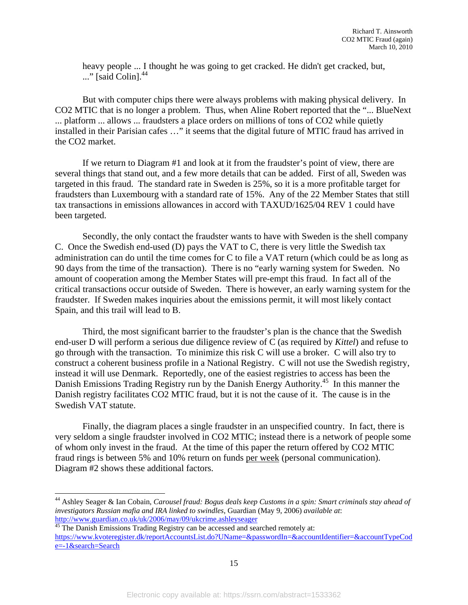heavy people ... I thought he was going to get cracked. He didn't get cracked, but, ..." [said Colin].<sup>44</sup>

 But with computer chips there were always problems with making physical delivery. In CO2 MTIC that is no longer a problem. Thus, when Aline Robert reported that the "... BlueNext ... platform ... allows ... fraudsters a place orders on millions of tons of CO2 while quietly installed in their Parisian cafes …" it seems that the digital future of MTIC fraud has arrived in the CO2 market.

 If we return to Diagram #1 and look at it from the fraudster's point of view, there are several things that stand out, and a few more details that can be added. First of all, Sweden was targeted in this fraud. The standard rate in Sweden is 25%, so it is a more profitable target for fraudsters than Luxembourg with a standard rate of 15%. Any of the 22 Member States that still tax transactions in emissions allowances in accord with TAXUD/1625/04 REV 1 could have been targeted.

Secondly, the only contact the fraudster wants to have with Sweden is the shell company C. Once the Swedish end-used (D) pays the VAT to C, there is very little the Swedish tax administration can do until the time comes for C to file a VAT return (which could be as long as 90 days from the time of the transaction). There is no "early warning system for Sweden. No amount of cooperation among the Member States will pre-empt this fraud. In fact all of the critical transactions occur outside of Sweden. There is however, an early warning system for the fraudster. If Sweden makes inquiries about the emissions permit, it will most likely contact Spain, and this trail will lead to B.

Third, the most significant barrier to the fraudster's plan is the chance that the Swedish end-user D will perform a serious due diligence review of C (as required by *Kittel*) and refuse to go through with the transaction. To minimize this risk C will use a broker. C will also try to construct a coherent business profile in a National Registry. C will not use the Swedish registry, instead it will use Denmark. Reportedly, one of the easiest registries to access has been the Danish Emissions Trading Registry run by the Danish Energy Authority.<sup>45</sup> In this manner the Danish registry facilitates CO2 MTIC fraud, but it is not the cause of it. The cause is in the Swedish VAT statute.

Finally, the diagram places a single fraudster in an unspecified country. In fact, there is very seldom a single fraudster involved in CO2 MTIC; instead there is a network of people some of whom only invest in the fraud. At the time of this paper the return offered by CO2 MTIC fraud rings is between 5% and 10% return on funds per week (personal communication). Diagram #2 shows these additional factors.

l

<sup>45</sup> The Danish Emissions Trading Registry can be accessed and searched remotely at: https://www.kvoteregister.dk/reportAccountsList.do?UName=&passwordIn=&accountIdentifier=&accountTypeCod e=-1&search=Search

<sup>44</sup> Ashley Seager & Ian Cobain, *Carousel fraud: Bogus deals keep Customs in a spin: Smart criminals stay ahead of investigators Russian mafia and IRA linked to swindles,* Guardian (May 9, 2006) *available at*: http://www.guardian.co.uk/uk/2006/may/09/ukcrime.ashleyseager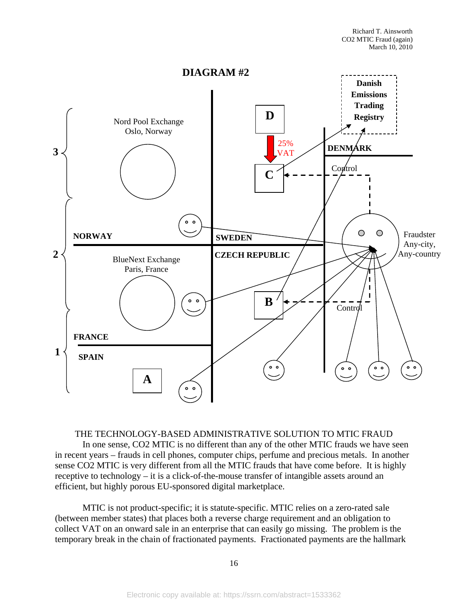

THE TECHNOLOGY-BASED ADMINISTRATIVE SOLUTION TO MTIC FRAUD In one sense, CO2 MTIC is no different than any of the other MTIC frauds we have seen in recent years – frauds in cell phones, computer chips, perfume and precious metals. In another sense CO2 MTIC is very different from all the MTIC frauds that have come before. It is highly receptive to technology – it is a click-of-the-mouse transfer of intangible assets around an efficient, but highly porous EU-sponsored digital marketplace.

MTIC is not product-specific; it is statute-specific. MTIC relies on a zero-rated sale (between member states) that places both a reverse charge requirement and an obligation to collect VAT on an onward sale in an enterprise that can easily go missing. The problem is the temporary break in the chain of fractionated payments. Fractionated payments are the hallmark

16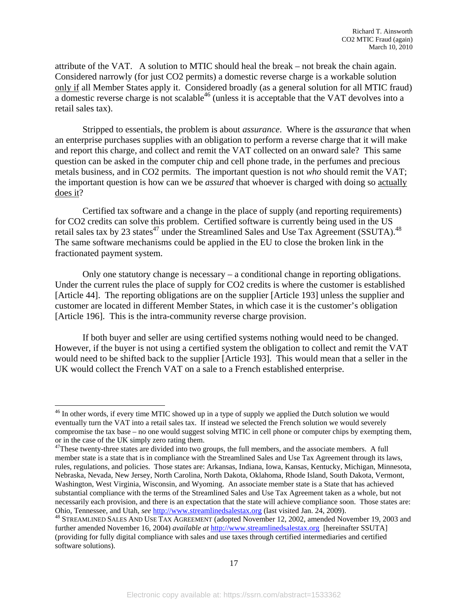attribute of the VAT. A solution to MTIC should heal the break – not break the chain again. Considered narrowly (for just CO2 permits) a domestic reverse charge is a workable solution only if all Member States apply it. Considered broadly (as a general solution for all MTIC fraud)  $\overline{a}$  domestic reverse charge is not scalable<sup>46</sup> (unless it is acceptable that the VAT devolves into a retail sales tax).

Stripped to essentials, the problem is about *assurance*. Where is the *assurance* that when an enterprise purchases supplies with an obligation to perform a reverse charge that it will make and report this charge, and collect and remit the VAT collected on an onward sale? This same question can be asked in the computer chip and cell phone trade, in the perfumes and precious metals business, and in CO2 permits. The important question is not *who* should remit the VAT; the important question is how can we be *assured* that whoever is charged with doing so actually does it?

Certified tax software and a change in the place of supply (and reporting requirements) for CO2 credits can solve this problem. Certified software is currently being used in the US retail sales tax by 23 states<sup>47</sup> under the Streamlined Sales and Use Tax Agreement (SSUTA).<sup>48</sup> The same software mechanisms could be applied in the EU to close the broken link in the fractionated payment system.

Only one statutory change is necessary – a conditional change in reporting obligations. Under the current rules the place of supply for CO2 credits is where the customer is established [Article 44]. The reporting obligations are on the supplier [Article 193] unless the supplier and customer are located in different Member States, in which case it is the customer's obligation [Article 196]. This is the intra-community reverse charge provision.

If both buyer and seller are using certified systems nothing would need to be changed. However, if the buyer is not using a certified system the obligation to collect and remit the VAT would need to be shifted back to the supplier [Article 193]. This would mean that a seller in the UK would collect the French VAT on a sale to a French established enterprise.

<sup>&</sup>lt;sup>46</sup> In other words, if every time MTIC showed up in a type of supply we applied the Dutch solution we would eventually turn the VAT into a retail sales tax. If instead we selected the French solution we would severely compromise the tax base – no one would suggest solving MTIC in cell phone or computer chips by exempting them, or in the case of the UK simply zero rating them.

<sup>&</sup>lt;sup>47</sup>These twenty-three states are divided into two groups, the full members, and the associate members. A full member state is a state that is in compliance with the Streamlined Sales and Use Tax Agreement through its laws, rules, regulations, and policies. Those states are: Arkansas, Indiana, Iowa, Kansas, Kentucky, Michigan, Minnesota, Nebraska, Nevada, New Jersey, North Carolina, North Dakota, Oklahoma, Rhode Island, South Dakota, Vermont, Washington, West Virginia, Wisconsin, and Wyoming. An associate member state is a State that has achieved substantial compliance with the terms of the Streamlined Sales and Use Tax Agreement taken as a whole, but not necessarily each provision, and there is an expectation that the state will achieve compliance soon. Those states are: Ohio, Tennessee, and Utah, *see* http://www.streamlinedsalestax.org (last visited Jan. 24, 2009). 48 STREAMLINED SALES AND USE TAX AGREEMENT (adopted November 12, 2002, amended November 19, 2003 and

further amended November 16, 2004) *available at* http://www.streamlinedsalestax.org [hereinafter SSUTA] (providing for fully digital compliance with sales and use taxes through certified intermediaries and certified software solutions).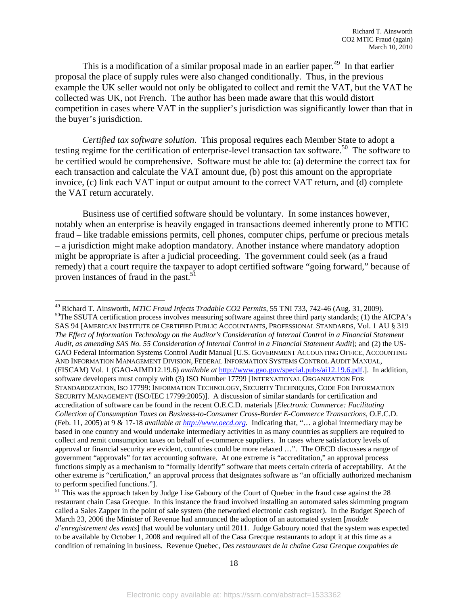This is a modification of a similar proposal made in an earlier paper.<sup>49</sup> In that earlier proposal the place of supply rules were also changed conditionally. Thus, in the previous example the UK seller would not only be obligated to collect and remit the VAT, but the VAT he collected was UK, not French. The author has been made aware that this would distort competition in cases where VAT in the supplier's jurisdiction was significantly lower than that in the buyer's jurisdiction.

*Certified tax software solution*. This proposal requires each Member State to adopt a testing regime for the certification of enterprise-level transaction tax software.<sup>50</sup> The software to be certified would be comprehensive. Software must be able to: (a) determine the correct tax for each transaction and calculate the VAT amount due, (b) post this amount on the appropriate invoice, (c) link each VAT input or output amount to the correct VAT return, and (d) complete the VAT return accurately.

Business use of certified software should be voluntary. In some instances however, notably when an enterprise is heavily engaged in transactions deemed inherently prone to MTIC fraud – like tradable emissions permits, cell phones, computer chips, perfume or precious metals – a jurisdiction might make adoption mandatory. Another instance where mandatory adoption might be appropriate is after a judicial proceeding. The government could seek (as a fraud remedy) that a court require the taxpayer to adopt certified software "going forward," because of proven instances of fraud in the past.<sup>51</sup>

<sup>&</sup>lt;sup>49</sup> Richard T. Ainsworth, *MTIC Fraud Infects Tradable CO2 Permits*, 55 TNI 733, 742-46 (Aug. 31, 2009).<br><sup>50</sup>The SSUTA certification process involves measuring software against three third party standards; (1) the AICPA's SAS 94 [AMERICAN INSTITUTE OF CERTIFIED PUBLIC ACCOUNTANTS, PROFESSIONAL STANDARDS, Vol. 1 AU § 319 *The Effect of Information Technology on the Auditor's Consideration of Internal Control in a Financial Statement Audit, as amending SAS No. 55 Consideration of Internal Control in a Financial Statement Audit*]; and (2) the US-GAO Federal Information Systems Control Audit Manual [U.S. GOVERNMENT ACCOUNTING OFFICE, ACCOUNTING AND INFORMATION MANAGEMENT DIVISION, FEDERAL INFORMATION SYSTEMS CONTROL AUDIT MANUAL, (FISCAM) Vol. 1 (GAO-AIMD12.19.6) *available at* http://www.gao.gov/special.pubs/ai12.19.6.pdf.]. In addition, software developers must comply with (3) ISO Number 17799 [INTERNATIONAL ORGANIZATION FOR STANDARDIZATION, ISO 17799: INFORMATION TECHNOLOGY, SECURITY TECHNIQUES, CODE FOR INFORMATION SECURITY MANAGEMENT (ISO/IEC 17799:2005)]. A discussion of similar standards for certification and accreditation of software can be found in the recent O.E.C.D. materials [*Electronic Commerce: Facilitating Collection of Consumption Taxes on Business-to-Consumer Cross-Border E-Commerce Transactions,* O.E.C.D. (Feb. 11, 2005) at 9 & 17-18 *available at http://www.oecd.org.* Indicating that, "… a global intermediary may be based in one country and would undertake intermediary activities in as many countries as suppliers are required to collect and remit consumption taxes on behalf of e-commerce suppliers. In cases where satisfactory levels of approval or financial security are evident, countries could be more relaxed …". The OECD discusses a range of government "approvals" for tax accounting software. At one extreme is "accreditation," an approval process functions simply as a mechanism to "formally identify" software that meets certain criteria of acceptability. At the other extreme is "certification," an approval process that designates software as "an officially authorized mechanism to perform specified functions."].

<sup>&</sup>lt;sup>51</sup> This was the approach taken by Judge Lise Gaboury of the Court of Quebec in the fraud case against the 28 restaurant chain Casa Grecque. In this instance the fraud involved installing an automated sales skimming program called a Sales Zapper in the point of sale system (the networked electronic cash register). In the Budget Speech of March 23, 2006 the Minister of Revenue had announced the adoption of an automated system [*module d'enregistrement des vents*] that would be voluntary until 2011. Judge Gaboury noted that the system was expected to be available by October 1, 2008 and required all of the Casa Grecque restaurants to adopt it at this time as a condition of remaining in business. Revenue Quebec, *Des restaurants de la chaîne Casa Grecque coupables de*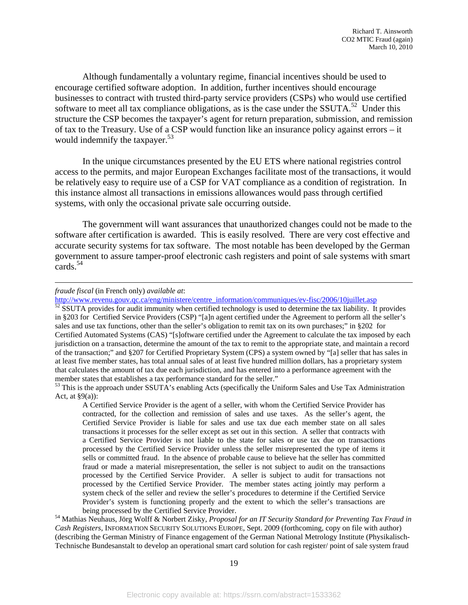Although fundamentally a voluntary regime, financial incentives should be used to encourage certified software adoption. In addition, further incentives should encourage businesses to contract with trusted third-party service providers (CSPs) who would use certified software to meet all tax compliance obligations, as is the case under the SSUTA.<sup>52</sup> Under this structure the CSP becomes the taxpayer's agent for return preparation, submission, and remission of tax to the Treasury. Use of a CSP would function like an insurance policy against errors – it would indemnify the taxpayer.<sup>53</sup>

In the unique circumstances presented by the EU ETS where national registries control access to the permits, and major European Exchanges facilitate most of the transactions, it would be relatively easy to require use of a CSP for VAT compliance as a condition of registration. In this instance almost all transactions in emissions allowances would pass through certified systems, with only the occasional private sale occurring outside.

The government will want assurances that unauthorized changes could not be made to the software after certification is awarded. This is easily resolved. There are very cost effective and accurate security systems for tax software. The most notable has been developed by the German government to assure tamper-proof electronic cash registers and point of sale systems with smart cards. $54$ 

 $\overline{a}$ 

http://www.revenu.gouv.qc.ca/eng/ministere/centre\_information/communiques/ev-fisc/2006/10juillet.asp 52 SSUTA provides for audit immunity when certified technology is used to determine the tax liability. It provides in §203 for Certified Service Providers (CSP) "[a]n agent certified under the Agreement to perform all the seller's sales and use tax functions, other than the seller's obligation to remit tax on its own purchases;" in §202 for Certified Automated Systems (CAS) "[s]oftware certified under the Agreement to calculate the tax imposed by each jurisdiction on a transaction, determine the amount of the tax to remit to the appropriate state, and maintain a record of the transaction;" and §207 for Certified Proprietary System (CPS) a system owned by "[a] seller that has sales in at least five member states, has total annual sales of at least five hundred million dollars, has a proprietary system that calculates the amount of tax due each jurisdiction, and has entered into a performance agreement with the member states that establishes a tax performance standard for the seller."<br><sup>53</sup> This is the approach under SSUTA's enabling Acts (specifically the Uniform Sales and Use Tax Administration

being processed by the Certified Service Provider. 54 Mathias Neuhaus, Jörg Wolff & Norbert Zisky, *Proposal for an IT Security Standard for Preventing Tax Fraud in Cash Registers*, INFORMATION SECURITY SOLUTIONS EUROPE, Sept. 2009 (forthcoming, copy on file with author) (describing the German Ministry of Finance engagement of the German National Metrology Institute (Physikalisch-Technische Bundesanstalt to develop an operational smart card solution for cash register/ point of sale system fraud

*fraude fiscal* (in French only) *available at*:

Act, at §9(a)):

A Certified Service Provider is the agent of a seller, with whom the Certified Service Provider has contracted, for the collection and remission of sales and use taxes. As the seller's agent, the Certified Service Provider is liable for sales and use tax due each member state on all sales transactions it processes for the seller except as set out in this section. A seller that contracts with a Certified Service Provider is not liable to the state for sales or use tax due on transactions processed by the Certified Service Provider unless the seller misrepresented the type of items it sells or committed fraud. In the absence of probable cause to believe hat the seller has committed fraud or made a material misrepresentation, the seller is not subject to audit on the transactions processed by the Certified Service Provider. A seller is subject to audit for transactions not processed by the Certified Service Provider. The member states acting jointly may perform a system check of the seller and review the seller's procedures to determine if the Certified Service Provider's system is functioning properly and the extent to which the seller's transactions are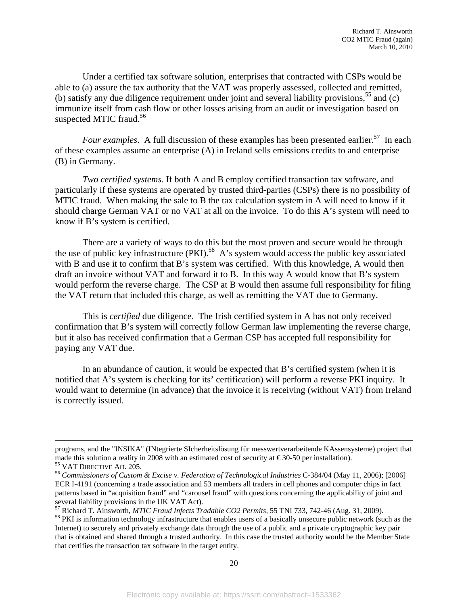Under a certified tax software solution, enterprises that contracted with CSPs would be able to (a) assure the tax authority that the VAT was properly assessed, collected and remitted, (b) satisfy any due diligence requirement under joint and several liability provisions,  $55$  and (c) immunize itself from cash flow or other losses arising from an audit or investigation based on suspected MTIC fraud. $56$ 

*Four examples*. A full discussion of these examples has been presented earlier.<sup>57</sup> In each of these examples assume an enterprise (A) in Ireland sells emissions credits to and enterprise (B) in Germany.

*Two certified systems*. If both A and B employ certified transaction tax software, and particularly if these systems are operated by trusted third-parties (CSPs) there is no possibility of MTIC fraud. When making the sale to B the tax calculation system in A will need to know if it should charge German VAT or no VAT at all on the invoice. To do this A's system will need to know if B's system is certified.

There are a variety of ways to do this but the most proven and secure would be through the use of public key infrastructure  $(PKI)$ .<sup>58</sup> A's system would access the public key associated with B and use it to confirm that B's system was certified. With this knowledge, A would then draft an invoice without VAT and forward it to B. In this way A would know that B's system would perform the reverse charge. The CSP at B would then assume full responsibility for filing the VAT return that included this charge, as well as remitting the VAT due to Germany.

This is *certified* due diligence. The Irish certified system in A has not only received confirmation that B's system will correctly follow German law implementing the reverse charge, but it also has received confirmation that a German CSP has accepted full responsibility for paying any VAT due.

In an abundance of caution, it would be expected that B's certified system (when it is notified that A's system is checking for its' certification) will perform a reverse PKI inquiry. It would want to determine (in advance) that the invoice it is receiving (without VAT) from Ireland is correctly issued.

programs, and the "INSIKA" (INtegrierte SIcherheitslösung für messwertverarbeitende KAssensysteme) project that made this solution a reality in 2008 with an estimated cost of security at  $\epsilon$ 30-50 per installation).<br><sup>55</sup> VAT DIRECTIVE Art. 205.<br><sup>56</sup> Commissioners of Custom & Excise v. Federation of Technological Industries C-384/04

ECR I-4191 (concerning a trade association and 53 members all traders in cell phones and computer chips in fact patterns based in "acquisition fraud" and "carousel fraud" with questions concerning the applicability of joint and several liability provisions in the UK VAT Act).

 $57$  Richard T. Ainsworth, *MTIC Fraud Infects Tradable CO2 Permits*, 55 TNI 733, 742-46 (Aug. 31, 2009).<br><sup>58</sup> PKI is information technology infrastructure that enables users of a basically unsecure public network (such a

Internet) to securely and privately exchange data through the use of a public and a private cryptographic key pair that is obtained and shared through a trusted authority. In this case the trusted authority would be the Member State that certifies the transaction tax software in the target entity.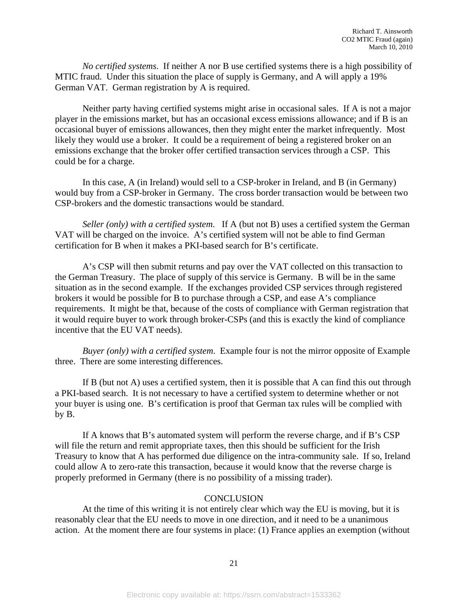*No certified systems*. If neither A nor B use certified systems there is a high possibility of MTIC fraud. Under this situation the place of supply is Germany, and A will apply a 19% German VAT. German registration by A is required.

Neither party having certified systems might arise in occasional sales. If A is not a major player in the emissions market, but has an occasional excess emissions allowance; and if B is an occasional buyer of emissions allowances, then they might enter the market infrequently. Most likely they would use a broker. It could be a requirement of being a registered broker on an emissions exchange that the broker offer certified transaction services through a CSP. This could be for a charge.

In this case, A (in Ireland) would sell to a CSP-broker in Ireland, and B (in Germany) would buy from a CSP-broker in Germany. The cross border transaction would be between two CSP-brokers and the domestic transactions would be standard.

*Seller (only) with a certified system*. If A (but not B) uses a certified system the German VAT will be charged on the invoice. A's certified system will not be able to find German certification for B when it makes a PKI-based search for B's certificate.

A's CSP will then submit returns and pay over the VAT collected on this transaction to the German Treasury. The place of supply of this service is Germany. B will be in the same situation as in the second example. If the exchanges provided CSP services through registered brokers it would be possible for B to purchase through a CSP, and ease A's compliance requirements. It might be that, because of the costs of compliance with German registration that it would require buyer to work through broker-CSPs (and this is exactly the kind of compliance incentive that the EU VAT needs).

*Buyer (only) with a certified system*. Example four is not the mirror opposite of Example three. There are some interesting differences.

If B (but not A) uses a certified system, then it is possible that A can find this out through a PKI-based search. It is not necessary to have a certified system to determine whether or not your buyer is using one. B's certification is proof that German tax rules will be complied with by B.

If A knows that B's automated system will perform the reverse charge, and if B's CSP will file the return and remit appropriate taxes, then this should be sufficient for the Irish Treasury to know that A has performed due diligence on the intra-community sale. If so, Ireland could allow A to zero-rate this transaction, because it would know that the reverse charge is properly preformed in Germany (there is no possibility of a missing trader).

#### **CONCLUSION**

 At the time of this writing it is not entirely clear which way the EU is moving, but it is reasonably clear that the EU needs to move in one direction, and it need to be a unanimous action. At the moment there are four systems in place: (1) France applies an exemption (without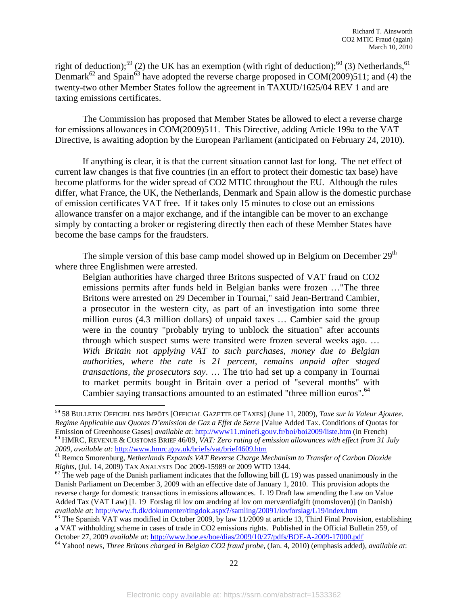right of deduction);<sup>59</sup> (2) the UK has an exemption (with right of deduction);<sup>60</sup> (3) Netherlands,<sup>61</sup> Denmark<sup>62</sup> and Spain<sup>63</sup> have adopted the reverse charge proposed in COM(2009)511; and (4) the twenty-two other Member States follow the agreement in TAXUD/1625/04 REV 1 and are taxing emissions certificates.

 The Commission has proposed that Member States be allowed to elect a reverse charge for emissions allowances in COM(2009)511. This Directive, adding Article 199a to the VAT Directive, is awaiting adoption by the European Parliament (anticipated on February 24, 2010).

 If anything is clear, it is that the current situation cannot last for long. The net effect of current law changes is that five countries (in an effort to protect their domestic tax base) have become platforms for the wider spread of CO2 MTIC throughout the EU. Although the rules differ, what France, the UK, the Netherlands, Denmark and Spain allow is the domestic purchase of emission certificates VAT free. If it takes only 15 minutes to close out an emissions allowance transfer on a major exchange, and if the intangible can be mover to an exchange simply by contacting a broker or registering directly then each of these Member States have become the base camps for the fraudsters.

The simple version of this base camp model showed up in Belgium on December  $29<sup>th</sup>$ where three Englishmen were arrested.

Belgian authorities have charged three Britons suspected of VAT fraud on CO2 emissions permits after funds held in Belgian banks were frozen …"The three Britons were arrested on 29 December in Tournai," said Jean-Bertrand Cambier, a prosecutor in the western city, as part of an investigation into some three million euros (4.3 million dollars) of unpaid taxes … Cambier said the group were in the country "probably trying to unblock the situation" after accounts through which suspect sums were transited were frozen several weeks ago. … *With Britain not applying VAT to such purchases, money due to Belgian authorities, where the rate is 21 percent, remains unpaid after staged transactions, the prosecutors say*. … The trio had set up a company in Tournai to market permits bought in Britain over a period of "several months" with Cambier saying transactions amounted to an estimated "three million euros".<sup>64</sup>

<sup>59 58</sup> BULLETIN OFFICIEL DES IMPÔTS [OFFICIAL GAZETTE OF TAXES] (June 11, 2009), *Taxe sur la Valeur Ajoutee. Regime Applicable aux Quotas D'emission de Gaz a Effet de Serre* [Value Added Tax. Conditions of Quotas for Emission of Greenhouse Gases] *available at*: http://www11.minefi.gouv.fr/boi/boi2009/liste.htm (in French)<br><sup>60</sup> HMRC, REVENUE & CUSTOMS BRIEF<sub>-</sub>46/09, *VAT: Zero rating of emission allowances with effect from 31 July*<br>200

<sup>&</sup>lt;sup>61</sup> Remco Smorenburg, *Netherlands Expands VAT Reverse Charge Mechanism to Transfer of Carbon Dioxide Rights, (Jul. 14, 2009) TAX ANALYSTS Doc 2009-15989 or 2009 WTD 1344.* 

 $R^2$  The web page of the Danish parliament indicates that the following bill (L 19) was passed unanimously in the Danish Parliament on December 3, 2009 with an effective date of January 1, 2010. This provision adopts the reverse charge for domestic transactions in emissions allowances. L 19 Draft law amending the Law on Value Added Tax (VAT Law) [L 19 Forslag til lov om ændring af lov om merværdiafgift (momsloven)] (in Danish) *available at*: http://www.ft.dk/dokumenter/tingdok.aspx?/samling/20091/lovforslag/L19/index.htm<br><sup>63</sup> The Spanish VAT was modified in October 2009, by law 11/2009 at article 13, Third Final Provision, establishing

a VAT withholding scheme in cases of trade in CO2 emissions rights. Published in the Official Bulletin 259, of October 27, 2009 available at: http://www.boe.es/boe/dias/2009/10/27/pdfs/BOE-A-2009-17000.pdf<br><sup>64</sup> Yahoo! news, *Three Britons charged in Belgian CO2 fraud probe*, (Jan. 4, 2010) (emphasis added), *available at*: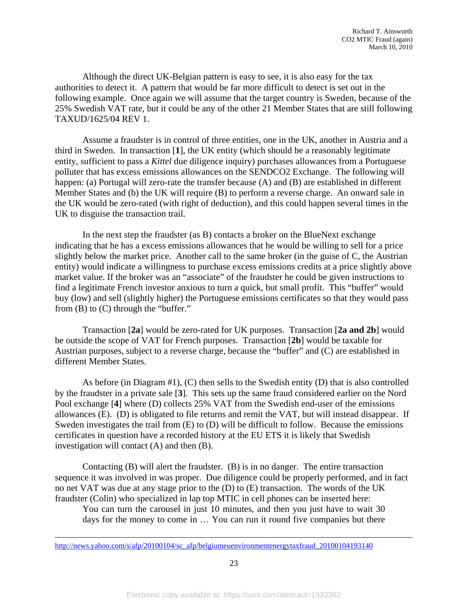Although the direct UK-Belgian pattern is easy to see, it is also easy for the tax authorities to detect it. A pattern that would be far more difficult to detect is set out in the following example. Once again we will assume that the target country is Sweden, because of the 25% Swedish VAT rate, but it could be any of the other 21 Member States that are still following TAXUD/1625/04 REV 1.

Assume a fraudster is in control of three entities, one in the UK, another in Austria and a third in Sweden. In transaction [**1**], the UK entity (which should be a reasonably legitimate entity, sufficient to pass a *Kittel* due diligence inquiry) purchases allowances from a Portuguese polluter that has excess emissions allowances on the SENDCO2 Exchange. The following will happen: (a) Portugal will zero-rate the transfer because (A) and (B) are established in different Member States and (b) the UK will require (B) to perform a reverse charge. An onward sale in the UK would be zero-rated (with right of deduction), and this could happen several times in the UK to disguise the transaction trail.

In the next step the fraudster (as B) contacts a broker on the BlueNext exchange indicating that he has a excess emissions allowances that he would be willing to sell for a price slightly below the market price. Another call to the same broker (in the guise of C, the Austrian entity) would indicate a willingness to purchase excess emissions credits at a price slightly above market value. If the broker was an "associate" of the fraudster he could be given instructions to find a legitimate French investor anxious to turn a quick, but small profit. This "buffer" would buy (low) and sell (slightly higher) the Portuguese emissions certificates so that they would pass from (B) to (C) through the "buffer."

Transaction [**2a**] would be zero-rated for UK purposes. Transaction [**2a and 2b**] would be outside the scope of VAT for French purposes. Transaction [**2b**] would be taxable for Austrian purposes, subject to a reverse charge, because the "buffer" and (C) are established in different Member States.

As before (in Diagram #1), (C) then sells to the Swedish entity (D) that is also controlled by the fraudster in a private sale [**3**]. This sets up the same fraud considered earlier on the Nord Pool exchange [**4**] where (D) collects 25% VAT from the Swedish end-user of the emissions allowances (E). (D) is obligated to file returns and remit the VAT, but will instead disappear. If Sweden investigates the trail from (E) to (D) will be difficult to follow. Because the emissions certificates in question have a recorded history at the EU ETS it is likely that Swedish investigation will contact (A) and then (B).

Contacting (B) will alert the fraudster. (B) is in no danger. The entire transaction sequence it was involved in was proper. Due diligence could be properly performed, and in fact no net VAT was due at any stage prior to the (D) to (E) transaction. The words of the UK fraudster (Colin) who specialized in lap top MTIC in cell phones can be inserted here:

You can turn the carousel in just 10 minutes, and then you just have to wait 30 days for the money to come in … You can run it round five companies but there

l

23

http://news.yahoo.com/s/afp/20100104/sc\_afp/belgiumeuenvironmentenergytaxfraud\_20100104193140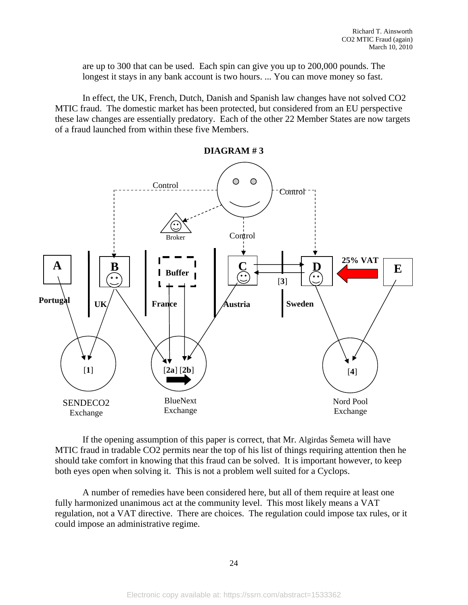are up to 300 that can be used. Each spin can give you up to 200,000 pounds. The longest it stays in any bank account is two hours. ... You can move money so fast.

In effect, the UK, French, Dutch, Danish and Spanish law changes have not solved CO2 MTIC fraud. The domestic market has been protected, but considered from an EU perspective these law changes are essentially predatory. Each of the other 22 Member States are now targets of a fraud launched from within these five Members.



If the opening assumption of this paper is correct, that Mr. Algirdas Šemeta will have MTIC fraud in tradable CO2 permits near the top of his list of things requiring attention then he should take comfort in knowing that this fraud can be solved. It is important however, to keep both eyes open when solving it. This is not a problem well suited for a Cyclops.

A number of remedies have been considered here, but all of them require at least one fully harmonized unanimous act at the community level. This most likely means a VAT regulation, not a VAT directive. There are choices. The regulation could impose tax rules, or it could impose an administrative regime.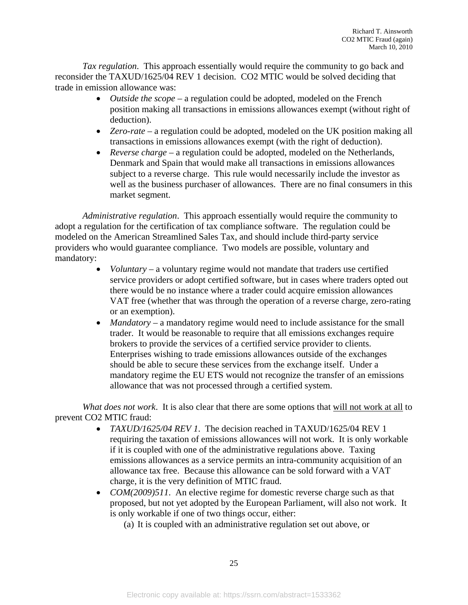*Tax regulation*. This approach essentially would require the community to go back and reconsider the TAXUD/1625/04 REV 1 decision. CO2 MTIC would be solved deciding that trade in emission allowance was:

- *Outside the scope* a regulation could be adopted, modeled on the French position making all transactions in emissions allowances exempt (without right of deduction).
- *Zero-rate* a regulation could be adopted, modeled on the UK position making all transactions in emissions allowances exempt (with the right of deduction).
- *Reverse charge* a regulation could be adopted, modeled on the Netherlands, Denmark and Spain that would make all transactions in emissions allowances subject to a reverse charge. This rule would necessarily include the investor as well as the business purchaser of allowances. There are no final consumers in this market segment.

*Administrative regulation*. This approach essentially would require the community to adopt a regulation for the certification of tax compliance software. The regulation could be modeled on the American Streamlined Sales Tax, and should include third-party service providers who would guarantee compliance. Two models are possible, voluntary and mandatory:

- *Voluntary* a voluntary regime would not mandate that traders use certified service providers or adopt certified software, but in cases where traders opted out there would be no instance where a trader could acquire emission allowances VAT free (whether that was through the operation of a reverse charge, zero-rating or an exemption).
- *Mandatory* a mandatory regime would need to include assistance for the small trader. It would be reasonable to require that all emissions exchanges require brokers to provide the services of a certified service provider to clients. Enterprises wishing to trade emissions allowances outside of the exchanges should be able to secure these services from the exchange itself. Under a mandatory regime the EU ETS would not recognize the transfer of an emissions allowance that was not processed through a certified system.

*What does not work*. It is also clear that there are some options that will not work at all to prevent CO2 MTIC fraud:

- *TAXUD/1625/04 REV 1*. The decision reached in TAXUD/1625/04 REV 1 requiring the taxation of emissions allowances will not work. It is only workable if it is coupled with one of the administrative regulations above. Taxing emissions allowances as a service permits an intra-community acquisition of an allowance tax free. Because this allowance can be sold forward with a VAT charge, it is the very definition of MTIC fraud.
- *COM(2009)511*. An elective regime for domestic reverse charge such as that proposed, but not yet adopted by the European Parliament, will also not work. It is only workable if one of two things occur, either:
	- (a) It is coupled with an administrative regulation set out above, or